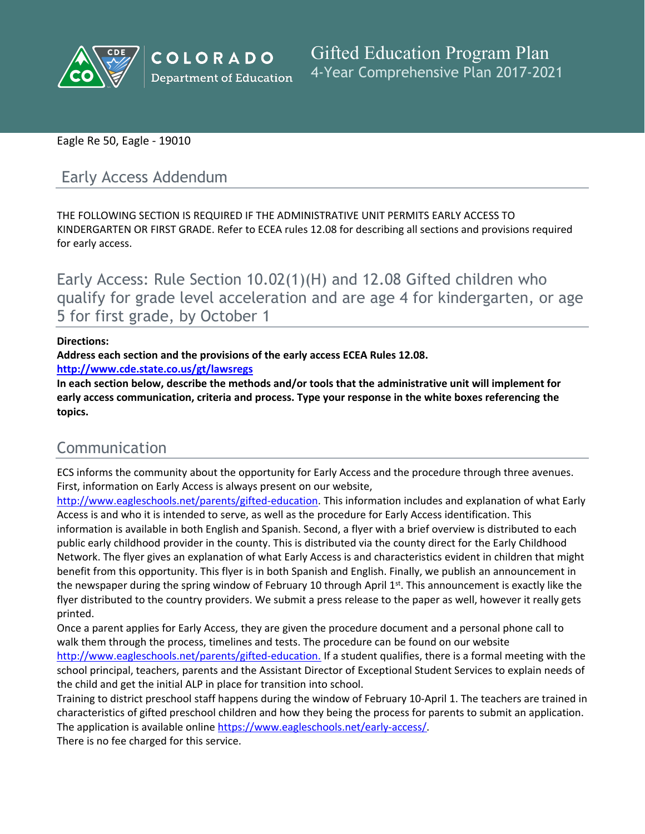

# Eagle Re 50, Eagle - 19010

# Early Access Addendum

THE FOLLOWING SECTION IS REQUIRED IF THE ADMINISTRATIVE UNIT PERMITS EARLY ACCESS TO KINDERGARTEN OR FIRST GRADE. Refer to ECEA rules 12.08 for describing all sections and provisions required for early access.

Early Access: Rule Section 10.02(1)(H) and 12.08 Gifted children who qualify for grade level acceleration and are age 4 for kindergarten, or age 5 for first grade, by October 1

### **Directions:**

**Address each section and the provisions of the early access ECEA Rules 12.08.**

**<http://www.cde.state.co.us/gt/lawsregs>**

**In each section below, describe the methods and/or tools that the administrative unit will implement for early access communication, criteria and process. Type your response in the white boxes referencing the topics.**

# Communication

ECS informs the community about the opportunity for Early Access and the procedure through three avenues. First, information on Early Access is always present on our website,

[http://www.eagleschools.net/parents/gifted-education.]() This information includes and explanation of what Early Access is and who it is intended to serve, as well as the procedure for Early Access identification. This information is available in both English and Spanish. Second, a flyer with a brief overview is distributed to each public early childhood provider in the county. This is distributed via the county direct for the Early Childhood Network. The flyer gives an explanation of what Early Access is and characteristics evident in children that might benefit from this opportunity. This flyer is in both Spanish and English. Finally, we publish an announcement in the newspaper during the spring window of February 10 through April 1st. This announcement is exactly like the flyer distributed to the country providers. We submit a press release to the paper as well, however it really gets printed.

Once a parent applies for Early Access, they are given the procedure document and a personal phone call to walk them through the process, timelines and tests. The procedure can be found on our website [http://www.eagleschools.net/parents/gifted-education.]() If a student qualifies, there is a formal meeting with the school principal, teachers, parents and the Assistant Director of Exceptional Student Services to explain needs of the child and get the initial ALP in place for transition into school.

Training to district preschool staff happens during the window of February 10-April 1. The teachers are trained in characteristics of gifted preschool children and how they being the process for parents to submit an application. The application is available online [https://www.eagleschools.net/early-access/]().

There is no fee charged for this service.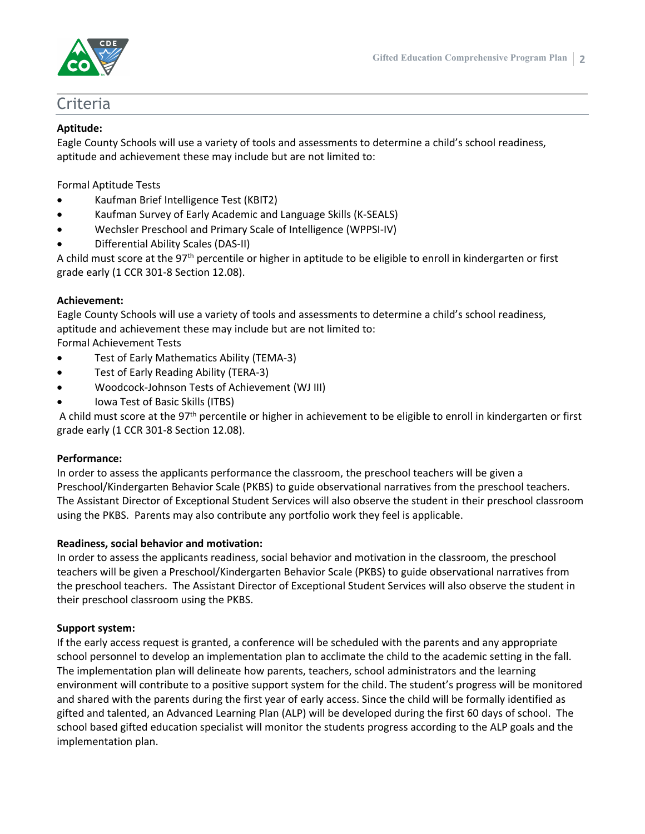

# Criteria

### **Aptitude:**

Eagle County Schools will use a variety of tools and assessments to determine a child's school readiness, aptitude and achievement these may include but are not limited to:

Formal Aptitude Tests

- Kaufman Brief Intelligence Test (KBIT2)
- Kaufman Survey of Early Academic and Language Skills (K-SEALS)
- Wechsler Preschool and Primary Scale of Intelligence (WPPSI-IV)
- Differential Ability Scales (DAS-II)

A child must score at the 97th percentile or higher in aptitude to be eligible to enroll in kindergarten or first grade early (1 CCR 301-8 Section 12.08).

### **Achievement:**

Eagle County Schools will use a variety of tools and assessments to determine a child's school readiness, aptitude and achievement these may include but are not limited to:

Formal Achievement Tests

- Test of Early Mathematics Ability (TEMA-3)
- Test of Early Reading Ability (TERA-3)
- Woodcock-Johnson Tests of Achievement (WJ III)
- Iowa Test of Basic Skills (ITBS)

A child must score at the 97th percentile or higher in achievement to be eligible to enroll in kindergarten or first grade early (1 CCR 301-8 Section 12.08).

### **Performance:**

In order to assess the applicants performance the classroom, the preschool teachers will be given a Preschool/Kindergarten Behavior Scale (PKBS) to guide observational narratives from the preschool teachers. The Assistant Director of Exceptional Student Services will also observe the student in their preschool classroom using the PKBS. Parents may also contribute any portfolio work they feel is applicable.

### **Readiness, social behavior and motivation:**

In order to assess the applicants readiness, social behavior and motivation in the classroom, the preschool teachers will be given a Preschool/Kindergarten Behavior Scale (PKBS) to guide observational narratives from the preschool teachers. The Assistant Director of Exceptional Student Services will also observe the student in their preschool classroom using the PKBS.

### **Support system:**

If the early access request is granted, a conference will be scheduled with the parents and any appropriate school personnel to develop an implementation plan to acclimate the child to the academic setting in the fall. The implementation plan will delineate how parents, teachers, school administrators and the learning environment will contribute to a positive support system for the child. The student's progress will be monitored and shared with the parents during the first year of early access. Since the child will be formally identified as gifted and talented, an Advanced Learning Plan (ALP) will be developed during the first 60 days of school. The school based gifted education specialist will monitor the students progress according to the ALP goals and the implementation plan.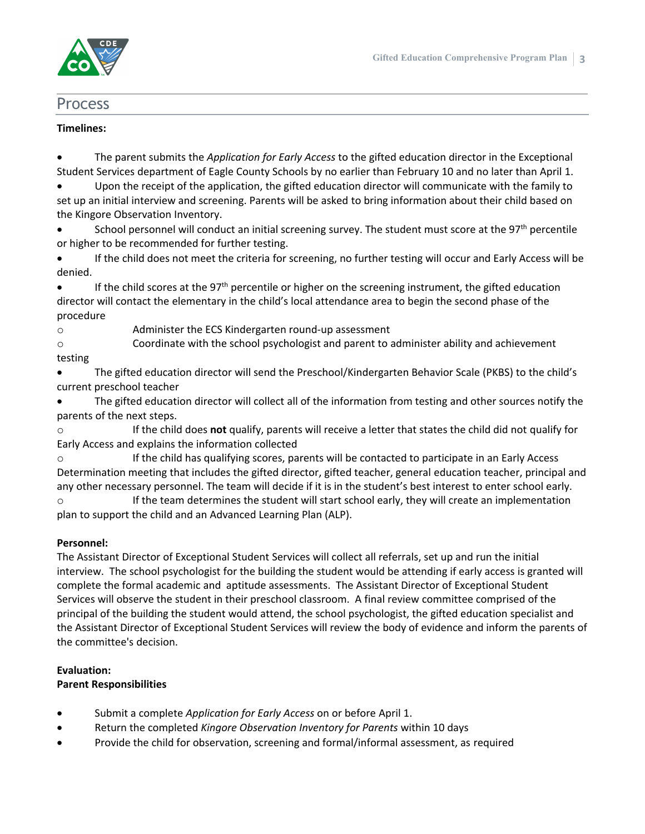

# Process

### **Timelines:**

 The parent submits the *Application for Early Access* to the gifted education director in the Exceptional Student Services department of Eagle County Schools by no earlier than February 10 and no later than April 1.

 Upon the receipt of the application, the gifted education director will communicate with the family to set up an initial interview and screening. Parents will be asked to bring information about their child based on the Kingore Observation Inventory.

**School personnel will conduct an initial screening survey. The student must score at the 97<sup>th</sup> percentile** or higher to be recommended for further testing.

 If the child does not meet the criteria for screening, no further testing will occur and Early Access will be denied.

 If the child scores at the 97th percentile or higher on the screening instrument, the gifted education director will contact the elementary in the child's local attendance area to begin the second phase of the procedure

o Administer the ECS Kindergarten round-up assessment

o Coordinate with the school psychologist and parent to administer ability and achievement

# testing

 The gifted education director will send the Preschool/Kindergarten Behavior Scale (PKBS) to the child's current preschool teacher

 The gifted education director will collect all of the information from testing and other sources notify the parents of the next steps.

o If the child does **not** qualify, parents will receive a letter that states the child did not qualify for Early Access and explains the information collected

o If the child has qualifying scores, parents will be contacted to participate in an Early Access Determination meeting that includes the gifted director, gifted teacher, general education teacher, principal and any other necessary personnel. The team will decide if it is in the student's best interest to enter school early. o If the team determines the student will start school early, they will create an implementation

plan to support the child and an Advanced Learning Plan (ALP).

# **Personnel:**

The Assistant Director of Exceptional Student Services will collect all referrals, set up and run the initial interview. The school psychologist for the building the student would be attending if early access is granted will complete the formal academic and aptitude assessments. The Assistant Director of Exceptional Student Services will observe the student in their preschool classroom. A final review committee comprised of the principal of the building the student would attend, the school psychologist, the gifted education specialist and the Assistant Director of Exceptional Student Services will review the body of evidence and inform the parents of the committee's decision.

# **Evaluation:**

### **Parent Responsibilities**

- Submit a complete *Application for Early Access* on or before April 1.
- Return the completed *Kingore Observation Inventory for Parents* within 10 days
- Provide the child for observation, screening and formal/informal assessment, as required